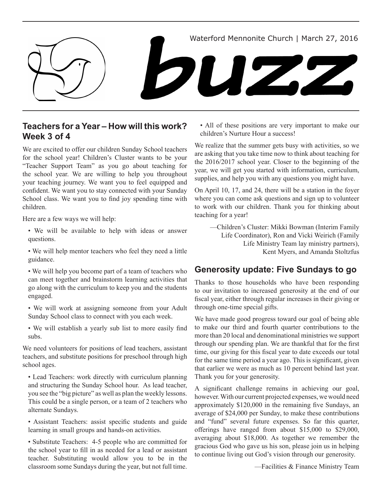

# **Teachers for a Year – How will this work? Week 3 of 4**

We are excited to offer our children Sunday School teachers for the school year! Children's Cluster wants to be your "Teacher Support Team" as you go about teaching for the school year. We are willing to help you throughout your teaching journey. We want you to feel equipped and confident. We want you to stay connected with your Sunday School class. We want you to find joy spending time with children.

Here are a few ways we will help:

- We will be available to help with ideas or answer questions.
- We will help mentor teachers who feel they need a little guidance.

• We will help you become part of a team of teachers who can meet together and brainstorm learning activities that go along with the curriculum to keep you and the students engaged.

- We will work at assigning someone from your Adult Sunday School class to connect with you each week.
- We will establish a yearly sub list to more easily find subs.

We need volunteers for positions of lead teachers, assistant teachers, and substitute positions for preschool through high school ages.

• Lead Teachers: work directly with curriculum planning and structuring the Sunday School hour. As lead teacher, you see the "big picture" as well as plan the weekly lessons. This could be a single person, or a team of 2 teachers who alternate Sundays.

• Assistant Teachers: assist specific students and guide learning in small groups and hands-on activities.

• Substitute Teachers: 4-5 people who are committed for the school year to fill in as needed for a lead or assistant teacher. Substituting would allow you to be in the classroom some Sundays during the year, but not full time.

• All of these positions are very important to make our children's Nurture Hour a success!

We realize that the summer gets busy with activities, so we are asking that you take time now to think about teaching for the 2016/2017 school year. Closer to the beginning of the year, we will get you started with information, curriculum, supplies, and help you with any questions you might have.

On April 10, 17, and 24, there will be a station in the foyer where you can come ask questions and sign up to volunteer to work with our children. Thank you for thinking about teaching for a year!

—Children's Cluster: Mikki Bowman (Interim Family Life Coordinator), Ron and Vicki Weirich (Family Life Ministry Team lay ministry partners), Kent Myers, and Amanda Stoltzfus

# **Generosity update: Five Sundays to go**

Thanks to those households who have been responding to our invitation to increased generosity at the end of our fiscal year, either through regular increases in their giving or through one-time special gifts.

We have made good progress toward our goal of being able to make our third and fourth quarter contributions to the more than 20 local and denominational ministries we support through our spending plan. We are thankful that for the first time, our giving for this fiscal year to date exceeds our total for the same time period a year ago. This is significant, given that earlier we were as much as 10 percent behind last year. Thank you for your generosity.

A significant challenge remains in achieving our goal, however. With our current projected expenses, we would need approximately \$120,000 in the remaining five Sundays, an average of \$24,000 per Sunday, to make these contributions and "fund" several future expenses. So far this quarter, offerings have ranged from about \$15,000 to \$29,000, averaging about \$18,000. As together we remember the gracious God who gave us his son, please join us in helping to continue living out God's vision through our generosity.

—Facilities & Finance Ministry Team